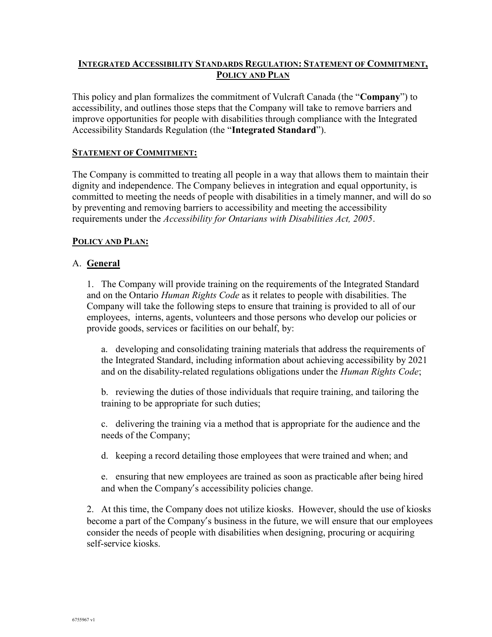### INTEGRATED ACCESSIBILITY STANDARDS REGULATION: STATEMENT OF COMMITMENT, POLICY AND PLAN

This policy and plan formalizes the commitment of Vulcraft Canada (the "**Company**") to accessibility, and outlines those steps that the Company will take to remove barriers and improve opportunities for people with disabilities through compliance with the Integrated Accessibility Standards Regulation (the "Integrated Standard").

#### STATEMENT OF COMMITMENT:

The Company is committed to treating all people in a way that allows them to maintain their dignity and independence. The Company believes in integration and equal opportunity, is committed to meeting the needs of people with disabilities in a timely manner, and will do so by preventing and removing barriers to accessibility and meeting the accessibility requirements under the *Accessibility for Ontarians with Disabilities Act, 2005*.

#### POLICY AND PLAN:

#### A. General

1. The Company will provide training on the requirements of the Integrated Standard and on the Ontario Human Rights Code as it relates to people with disabilities. The Company will take the following steps to ensure that training is provided to all of our employees, interns, agents, volunteers and those persons who develop our policies or provide goods, services or facilities on our behalf, by:

a. developing and consolidating training materials that address the requirements of the Integrated Standard, including information about achieving accessibility by 2021 and on the disability-related regulations obligations under the *Human Rights Code*;

b. reviewing the duties of those individuals that require training, and tailoring the training to be appropriate for such duties;

c. delivering the training via a method that is appropriate for the audience and the needs of the Company;

d. keeping a record detailing those employees that were trained and when; and

e. ensuring that new employees are trained as soon as practicable after being hired and when the Company's accessibility policies change.

2. At this time, the Company does not utilize kiosks. However, should the use of kiosks become a part of the Company's business in the future, we will ensure that our employees consider the needs of people with disabilities when designing, procuring or acquiring self-service kiosks.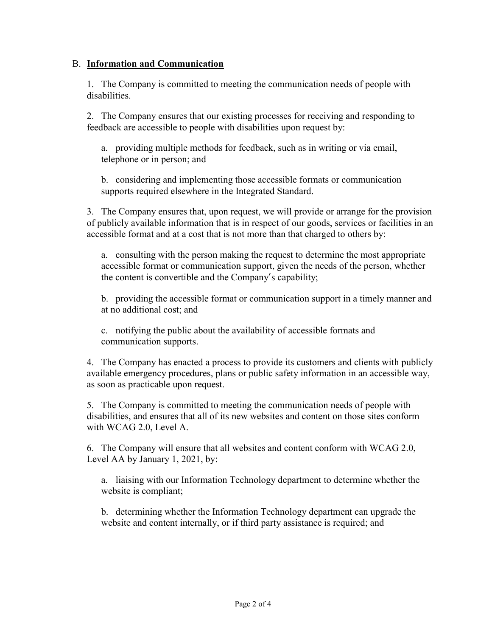#### B. Information and Communication

1. The Company is committed to meeting the communication needs of people with disabilities.

2. The Company ensures that our existing processes for receiving and responding to feedback are accessible to people with disabilities upon request by:

a. providing multiple methods for feedback, such as in writing or via email, telephone or in person; and

b. considering and implementing those accessible formats or communication supports required elsewhere in the Integrated Standard.

3. The Company ensures that, upon request, we will provide or arrange for the provision of publicly available information that is in respect of our goods, services or facilities in an accessible format and at a cost that is not more than that charged to others by:

a. consulting with the person making the request to determine the most appropriate accessible format or communication support, given the needs of the person, whether the content is convertible and the Company's capability;

b. providing the accessible format or communication support in a timely manner and at no additional cost; and

c. notifying the public about the availability of accessible formats and communication supports.

4. The Company has enacted a process to provide its customers and clients with publicly available emergency procedures, plans or public safety information in an accessible way, as soon as practicable upon request.

5. The Company is committed to meeting the communication needs of people with disabilities, and ensures that all of its new websites and content on those sites conform with WCAG 2.0, Level A.

6. The Company will ensure that all websites and content conform with WCAG 2.0, Level AA by January 1, 2021, by:

a. liaising with our Information Technology department to determine whether the website is compliant;

b. determining whether the Information Technology department can upgrade the website and content internally, or if third party assistance is required; and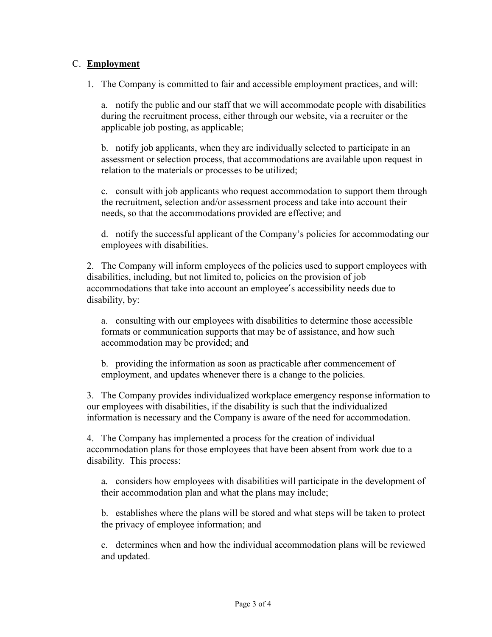## C. Employment

1. The Company is committed to fair and accessible employment practices, and will:

a. notify the public and our staff that we will accommodate people with disabilities during the recruitment process, either through our website, via a recruiter or the applicable job posting, as applicable;

b. notify job applicants, when they are individually selected to participate in an assessment or selection process, that accommodations are available upon request in relation to the materials or processes to be utilized;

c. consult with job applicants who request accommodation to support them through the recruitment, selection and/or assessment process and take into account their needs, so that the accommodations provided are effective; and

d. notify the successful applicant of the Company's policies for accommodating our employees with disabilities.

2. The Company will inform employees of the policies used to support employees with disabilities, including, but not limited to, policies on the provision of job accommodations that take into account an employee's accessibility needs due to disability, by:

a. consulting with our employees with disabilities to determine those accessible formats or communication supports that may be of assistance, and how such accommodation may be provided; and

b. providing the information as soon as practicable after commencement of employment, and updates whenever there is a change to the policies.

3. The Company provides individualized workplace emergency response information to our employees with disabilities, if the disability is such that the individualized information is necessary and the Company is aware of the need for accommodation.

4. The Company has implemented a process for the creation of individual accommodation plans for those employees that have been absent from work due to a disability. This process:

a. considers how employees with disabilities will participate in the development of their accommodation plan and what the plans may include;

b. establishes where the plans will be stored and what steps will be taken to protect the privacy of employee information; and

c. determines when and how the individual accommodation plans will be reviewed and updated.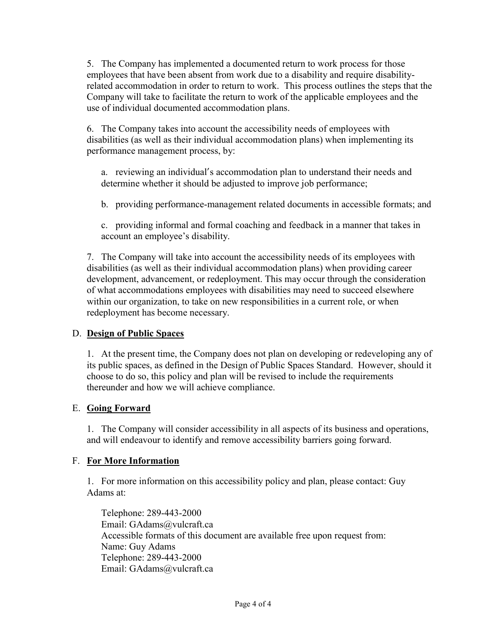5. The Company has implemented a documented return to work process for those employees that have been absent from work due to a disability and require disabilityrelated accommodation in order to return to work. This process outlines the steps that the Company will take to facilitate the return to work of the applicable employees and the use of individual documented accommodation plans.

6. The Company takes into account the accessibility needs of employees with disabilities (as well as their individual accommodation plans) when implementing its performance management process, by:

a. reviewing an individual's accommodation plan to understand their needs and determine whether it should be adjusted to improve job performance;

b. providing performance-management related documents in accessible formats; and

c. providing informal and formal coaching and feedback in a manner that takes in account an employee's disability.

7. The Company will take into account the accessibility needs of its employees with disabilities (as well as their individual accommodation plans) when providing career development, advancement, or redeployment. This may occur through the consideration of what accommodations employees with disabilities may need to succeed elsewhere within our organization, to take on new responsibilities in a current role, or when redeployment has become necessary.

## D. Design of Public Spaces

1. At the present time, the Company does not plan on developing or redeveloping any of its public spaces, as defined in the Design of Public Spaces Standard. However, should it choose to do so, this policy and plan will be revised to include the requirements thereunder and how we will achieve compliance.

## E. Going Forward

1. The Company will consider accessibility in all aspects of its business and operations, and will endeavour to identify and remove accessibility barriers going forward.

## F. For More Information

1. For more information on this accessibility policy and plan, please contact: Guy Adams at:

Telephone: 289-443-2000 Email: GAdams@vulcraft.ca Accessible formats of this document are available free upon request from: Name: Guy Adams Telephone: 289-443-2000 Email: GAdams@vulcraft.ca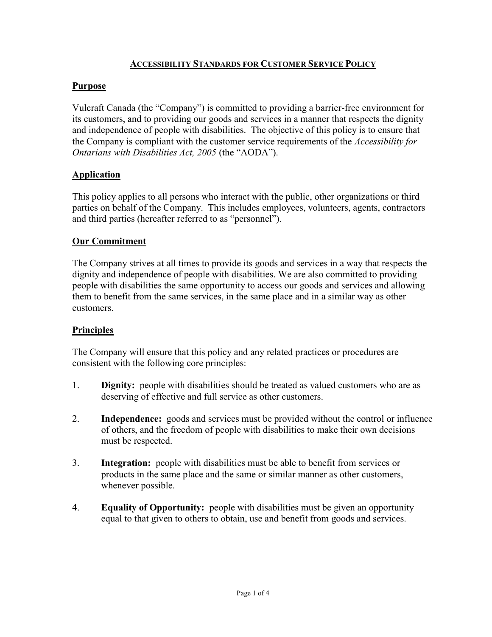## ACCESSIBILITY STANDARDS FOR CUSTOMER SERVICE POLICY

## Purpose

Vulcraft Canada (the "Company") is committed to providing a barrier-free environment for its customers, and to providing our goods and services in a manner that respects the dignity and independence of people with disabilities. The objective of this policy is to ensure that the Company is compliant with the customer service requirements of the Accessibility for Ontarians with Disabilities Act, 2005 (the "AODA").

# **Application**

This policy applies to all persons who interact with the public, other organizations or third parties on behalf of the Company. This includes employees, volunteers, agents, contractors and third parties (hereafter referred to as "personnel").

# Our Commitment

The Company strives at all times to provide its goods and services in a way that respects the dignity and independence of people with disabilities. We are also committed to providing people with disabilities the same opportunity to access our goods and services and allowing them to benefit from the same services, in the same place and in a similar way as other customers.

## **Principles**

The Company will ensure that this policy and any related practices or procedures are consistent with the following core principles:

- 1. Dignity: people with disabilities should be treated as valued customers who are as deserving of effective and full service as other customers.
- 2. Independence: goods and services must be provided without the control or influence of others, and the freedom of people with disabilities to make their own decisions must be respected.
- 3. Integration: people with disabilities must be able to benefit from services or products in the same place and the same or similar manner as other customers, whenever possible.
- 4. Equality of Opportunity: people with disabilities must be given an opportunity equal to that given to others to obtain, use and benefit from goods and services.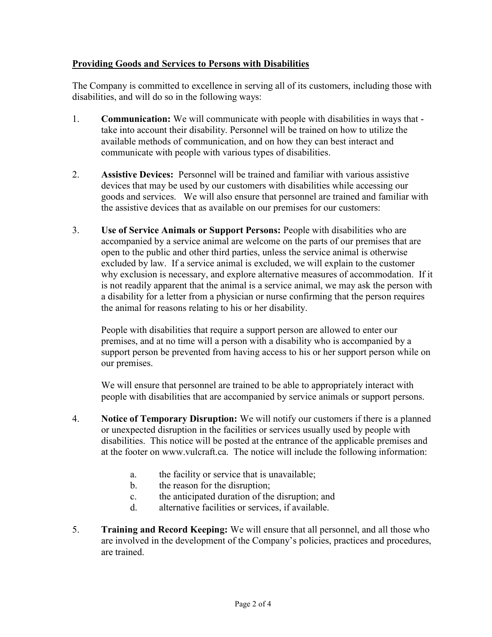## Providing Goods and Services to Persons with Disabilities

The Company is committed to excellence in serving all of its customers, including those with disabilities, and will do so in the following ways:

- 1. Communication: We will communicate with people with disabilities in ways that take into account their disability. Personnel will be trained on how to utilize the available methods of communication, and on how they can best interact and communicate with people with various types of disabilities.
- 2. Assistive Devices: Personnel will be trained and familiar with various assistive devices that may be used by our customers with disabilities while accessing our goods and services. We will also ensure that personnel are trained and familiar with the assistive devices that as available on our premises for our customers:
- 3. Use of Service Animals or Support Persons: People with disabilities who are accompanied by a service animal are welcome on the parts of our premises that are open to the public and other third parties, unless the service animal is otherwise excluded by law. If a service animal is excluded, we will explain to the customer why exclusion is necessary, and explore alternative measures of accommodation. If it is not readily apparent that the animal is a service animal, we may ask the person with a disability for a letter from a physician or nurse confirming that the person requires the animal for reasons relating to his or her disability.

People with disabilities that require a support person are allowed to enter our premises, and at no time will a person with a disability who is accompanied by a support person be prevented from having access to his or her support person while on our premises.

We will ensure that personnel are trained to be able to appropriately interact with people with disabilities that are accompanied by service animals or support persons.

- 4. Notice of Temporary Disruption: We will notify our customers if there is a planned or unexpected disruption in the facilities or services usually used by people with disabilities. This notice will be posted at the entrance of the applicable premises and at the footer on www.vulcraft.ca. The notice will include the following information:
	- a. the facility or service that is unavailable;
	- b. the reason for the disruption;
	- c. the anticipated duration of the disruption; and
	- d. alternative facilities or services, if available.
- 5. Training and Record Keeping: We will ensure that all personnel, and all those who are involved in the development of the Company's policies, practices and procedures, are trained.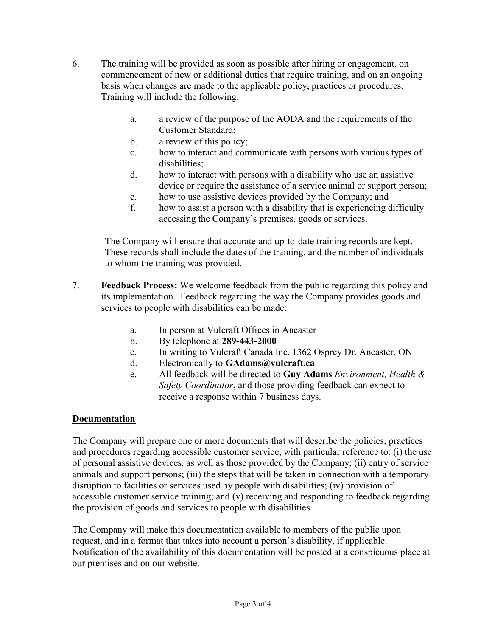- 6. The training will be provided as soon as possible after hiring or engagement, on commencement of new or additional duties that require training, and on an ongoing basis when changes are made to the applicable policy, practices or procedures. Training will include the following:
	- a. a review of the purpose of the AODA and the requirements of the Customer Standard;
	- b. a review of this policy;
	- c. how to interact and communicate with persons with various types of disabilities;
	- d. how to interact with persons with a disability who use an assistive device or require the assistance of a service animal or support person;
	- e. how to use assistive devices provided by the Company; and
	- f. how to assist a person with a disability that is experiencing difficulty accessing the Company's premises, goods or services.

The Company will ensure that accurate and up-to-date training records are kept. These records shall include the dates of the training, and the number of individuals to whom the training was provided.

- 7. Feedback Process: We welcome feedback from the public regarding this policy and its implementation. Feedback regarding the way the Company provides goods and services to people with disabilities can be made:
	- a. In person at Vulcraft Offices in Ancaster
	- b. By telephone at 289-443-2000
	- c. In writing to Vulcraft Canada Inc. 1362 Osprey Dr. Ancaster, ON
	- d. Electronically to GAdams@vulcraft.ca
	- e. All feedback will be directed to Guy Adams Environment, Health  $\&$ Safety Coordinator, and those providing feedback can expect to receive a response within 7 business days.

## Documentation

The Company will prepare one or more documents that will describe the policies, practices and procedures regarding accessible customer service, with particular reference to: (i) the use of personal assistive devices, as well as those provided by the Company; (ii) entry of service animals and support persons; (iii) the steps that will be taken in connection with a temporary disruption to facilities or services used by people with disabilities; (iv) provision of accessible customer service training; and (v) receiving and responding to feedback regarding the provision of goods and services to people with disabilities.

The Company will make this documentation available to members of the public upon request, and in a format that takes into account a person's disability, if applicable. Notification of the availability of this documentation will be posted at a conspicuous place at our premises and on our website.